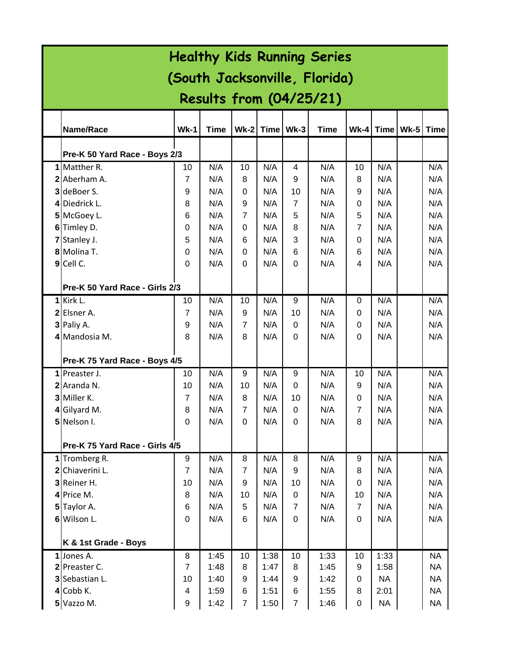| <b>Healthy Kids Running Series</b> |                                |                         |             |                |      |                |             |                  |           |        |           |
|------------------------------------|--------------------------------|-------------------------|-------------|----------------|------|----------------|-------------|------------------|-----------|--------|-----------|
| (South Jacksonville, Florida)      |                                |                         |             |                |      |                |             |                  |           |        |           |
|                                    | <b>Results from (04/25/21)</b> |                         |             |                |      |                |             |                  |           |        |           |
|                                    |                                |                         |             |                |      |                |             |                  |           |        |           |
|                                    | Name/Race                      | <b>Wk-1</b>             | <b>Time</b> | $Wk-2$         |      | Time Wk-3      | <b>Time</b> | $Wk-4$           | Time      | $Wk-5$ | Time      |
|                                    | Pre-K 50 Yard Race - Boys 2/3  |                         |             |                |      |                |             |                  |           |        |           |
|                                    | 1 Matther R.                   | 10                      | N/A         | 10             | N/A  | 4              | N/A         | 10               | N/A       |        | N/A       |
|                                    | 2 Aberham A.                   | $\overline{7}$          | N/A         | 8              | N/A  | 9              | N/A         | 8                | N/A       |        | N/A       |
| 3                                  | deBoer S.                      | 9                       | N/A         | 0              | N/A  | 10             | N/A         | 9                | N/A       |        | N/A       |
|                                    | 4 Diedrick L.                  | 8                       | N/A         | 9              | N/A  | $\overline{7}$ | N/A         | 0                | N/A       |        | N/A       |
|                                    | 5 McGoey L.                    | 6                       | N/A         | $\overline{7}$ | N/A  | 5              | N/A         | 5                | N/A       |        | N/A       |
|                                    | 6 Timley D.                    | 0                       | N/A         | $\Omega$       | N/A  | 8              | N/A         | $\overline{7}$   | N/A       |        | N/A       |
|                                    | Stanley J.                     | 5                       | N/A         | 6              | N/A  | 3              | N/A         | 0                | N/A       |        | N/A       |
|                                    | 8 Molina T.                    | $\Omega$                | N/A         | $\Omega$       | N/A  | 6              | N/A         | 6                | N/A       |        | N/A       |
|                                    | 9 Cell C.                      | $\Omega$                | N/A         | $\Omega$       | N/A  | $\Omega$       | N/A         | 4                | N/A       |        | N/A       |
|                                    |                                |                         |             |                |      |                |             |                  |           |        |           |
|                                    | Pre-K 50 Yard Race - Girls 2/3 |                         |             |                |      |                |             |                  |           |        |           |
|                                    | 1 Kirk L.                      | 10                      | N/A         | 10             | N/A  | 9              | N/A         | 0                | N/A       |        | N/A       |
|                                    | 2 Elsner A.                    | 7                       | N/A         | 9              | N/A  | 10             | N/A         | 0                | N/A       |        | N/A       |
|                                    | 3 Paliy A.                     | 9                       | N/A         | $\overline{7}$ | N/A  | $\Omega$       | N/A         | 0                | N/A       |        | N/A       |
|                                    | 4 Mandosia M.                  | 8                       | N/A         | 8              | N/A  | $\Omega$       | N/A         | 0                | N/A       |        | N/A       |
|                                    | Pre-K 75 Yard Race - Boys 4/5  |                         |             |                |      |                |             |                  |           |        |           |
|                                    | 1 Preaster J.                  | 10                      | N/A         | 9              | N/A  | 9              | N/A         | 10               | N/A       |        | N/A       |
|                                    | 2 Aranda N.                    | 10                      | N/A         | 10             | N/A  | $\Omega$       | N/A         | 9                | N/A       |        | N/A       |
|                                    | 3 Miller K.                    | 7                       | N/A         | 8              | N/A  | 10             | N/A         | 0                | N/A       |        | N/A       |
|                                    | 4 Gilyard M.                   | 8                       | N/A         | $\overline{7}$ | N/A  | 0              | N/A         | $\overline{7}$   | N/A       |        | N/A       |
|                                    | 5 Nelson I.                    | 0                       | N/A         | $\mathbf 0$    | N/A  | 0              | N/A         | 8                | N/A       |        | N/A       |
|                                    |                                |                         |             |                |      |                |             |                  |           |        |           |
|                                    | Pre-K 75 Yard Race - Girls 4/5 |                         |             |                |      |                |             |                  |           |        |           |
|                                    | 1 Tromberg R.                  | 9                       | N/A         | 8              | N/A  | 8              | N/A         | 9                | N/A       |        | N/A       |
|                                    | 2 Chiaverini L.                | $\overline{7}$          | N/A         | $\overline{7}$ | N/A  | 9              | N/A         | 8                | N/A       |        | N/A       |
|                                    | 3 Reiner H.                    | 10                      | N/A         | 9              | N/A  | 10             | N/A         | $\pmb{0}$        | N/A       |        | N/A       |
|                                    | $4$ Price M.                   | 8                       | N/A         | 10             | N/A  | 0              | N/A         | 10               | N/A       |        | N/A       |
|                                    | 5 Taylor A.                    | 6                       | N/A         | 5              | N/A  | $\overline{7}$ | N/A         | $\overline{7}$   | N/A       |        | N/A       |
|                                    | 6 Wilson L.                    | $\Omega$                | N/A         | 6              | N/A  | 0              | N/A         | 0                | N/A       |        | N/A       |
|                                    | K & 1st Grade - Boys           |                         |             |                |      |                |             |                  |           |        |           |
|                                    | $1$ Jones A.                   | 8                       | 1:45        | 10             | 1:38 | 10             | 1:33        | 10               | 1:33      |        | <b>NA</b> |
|                                    | 2 Preaster C.                  | $\overline{7}$          | 1:48        | 8              | 1:47 | 8              | 1:45        | 9                | 1:58      |        | <b>NA</b> |
|                                    | 3 Sebastian L.                 | 10                      | 1:40        | 9              | 1:44 | 9              | 1:42        | 0                | <b>NA</b> |        | <b>NA</b> |
|                                    | $4$ Cobb K.                    | $\overline{\mathbf{4}}$ | 1:59        | 6              | 1:51 | 6              | 1:55        | 8                | 2:01      |        | <b>NA</b> |
|                                    | 5 Vazzo M.                     | $\boldsymbol{9}$        | 1:42        | $\overline{7}$ | 1:50 | $\overline{7}$ | 1:46        | $\boldsymbol{0}$ | <b>NA</b> |        | <b>NA</b> |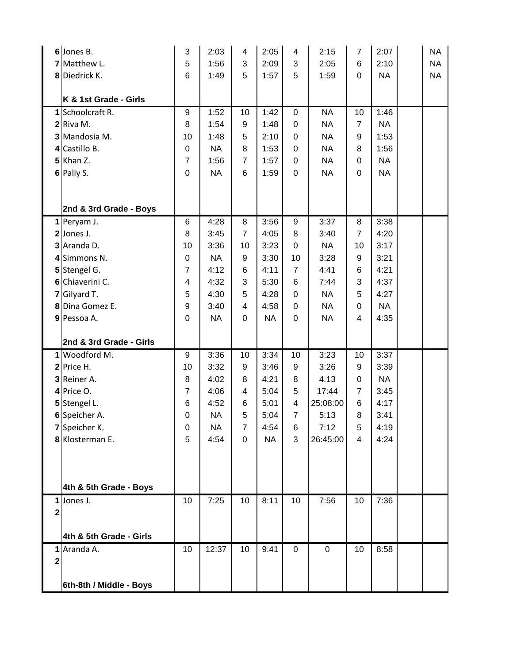|                         | 6 Jones B.                              | 3                | 2:03      | 4                | 2:05      | 4              | 2:15        | $\overline{7}$            | 2:07      | <b>NA</b> |
|-------------------------|-----------------------------------------|------------------|-----------|------------------|-----------|----------------|-------------|---------------------------|-----------|-----------|
|                         | 7 Matthew L.                            | 5                | 1:56      | 3                | 2:09      | 3              | 2:05        | 6                         | 2:10      | <b>NA</b> |
|                         | 8 Diedrick K.                           | 6                | 1:49      | 5                | 1:57      | 5              | 1:59        | $\mathbf 0$               | <b>NA</b> | <b>NA</b> |
|                         |                                         |                  |           |                  |           |                |             |                           |           |           |
|                         | K & 1st Grade - Girls                   |                  |           |                  |           |                |             |                           |           |           |
|                         | 1 Schoolcraft R.                        | 9                | 1:52      | 10               | 1:42      | 0              | <b>NA</b>   | 10                        | 1:46      |           |
|                         | $2$ Riva M.                             | 8                | 1:54      | 9                | 1:48      | 0              | <b>NA</b>   | $\overline{7}$            | <b>NA</b> |           |
| 3                       | Mandosia M.                             | 10               | 1:48      | 5                | 2:10      | 0              | <b>NA</b>   | 9                         | 1:53      |           |
| 41                      | Castillo B.                             | $\boldsymbol{0}$ | <b>NA</b> | 8                | 1:53      | 0              | <b>NA</b>   | 8                         | 1:56      |           |
|                         | $5$ Khan Z.                             | $\overline{7}$   | 1:56      | $\overline{7}$   | 1:57      | $\mathbf 0$    | <b>NA</b>   | $\boldsymbol{0}$          | <b>NA</b> |           |
|                         | 6 Paliy S.                              | $\mathbf 0$      | <b>NA</b> | 6                | 1:59      | 0              | <b>NA</b>   | $\boldsymbol{0}$          | <b>NA</b> |           |
|                         |                                         |                  |           |                  |           |                |             |                           |           |           |
|                         |                                         |                  |           |                  |           |                |             |                           |           |           |
|                         | 2nd & 3rd Grade - Boys<br>$1$ Peryam J. | 6                | 4:28      | 8                | 3:56      | 9              | 3:37        | 8                         | 3:38      |           |
|                         | 2 Jones J.                              | 8                | 3:45      | $\overline{7}$   | 4:05      | 8              | 3:40        | $\overline{7}$            | 4:20      |           |
|                         | 3 Aranda D.                             | 10               | 3:36      | 10               | 3:23      | 0              | <b>NA</b>   | 10                        | 3:17      |           |
| 4                       | Simmons N.                              | $\boldsymbol{0}$ | <b>NA</b> | 9                | 3:30      | 10             | 3:28        | 9                         | 3:21      |           |
| 5                       | Stengel G.                              | $\overline{7}$   | 4:12      | 6                | 4:11      | $\overline{7}$ | 4:41        | 6                         | 4:21      |           |
| 6                       | Chiaverini C.                           | 4                | 4:32      | 3                | 5:30      | 6              | 7:44        | $\ensuremath{\mathsf{3}}$ | 4:37      |           |
| $\mathbf{7}$            |                                         | 5                | 4:30      | 5                | 4:28      | 0              | <b>NA</b>   | 5                         | 4:27      |           |
|                         | Gilyard T.<br>8 Dina Gomez E.           | 9                | 3:40      | $\overline{4}$   | 4:58      | 0              | <b>NA</b>   | $\boldsymbol{0}$          | <b>NA</b> |           |
|                         |                                         | $\mathbf 0$      |           | $\mathbf 0$      |           |                |             |                           |           |           |
|                         | 9 Pessoa A.                             |                  | <b>NA</b> |                  | <b>NA</b> | 0              | <b>NA</b>   | 4                         | 4:35      |           |
|                         | 2nd & 3rd Grade - Girls                 |                  |           |                  |           |                |             |                           |           |           |
|                         | 1 Woodford M.                           | $\boldsymbol{9}$ | 3:36      | 10               | 3:34      | 10             | 3:23        | 10                        | 3:37      |           |
|                         | 2 Price H.                              | 10               | 3:32      | $\boldsymbol{9}$ | 3:46      | 9              | 3:26        | $\boldsymbol{9}$          | 3:39      |           |
|                         | 3 Reiner A.                             | 8                | 4:02      | 8                | 4:21      | 8              | 4:13        | $\boldsymbol{0}$          | <b>NA</b> |           |
|                         | $4$ Price O.                            | $\overline{7}$   | 4:06      | 4                | 5:04      | 5              | 17:44       | $\overline{7}$            | 3:45      |           |
|                         | Stengel L.                              | 6                | 4:52      | 6                | 5:01      | 4              | 25:08:00    | $6\phantom{1}6$           | 4:17      |           |
|                         | 6 Speicher A.                           | 0                | <b>NA</b> | 5                | 5:04      | $\overline{7}$ | 5:13        | 8                         | 3:41      |           |
|                         | 7 Speicher K.                           | 0                | <b>NA</b> | $\overline{7}$   | 4:54      | 6              | 7:12        | 5                         | 4:19      |           |
|                         | 8 Klosterman E.                         | 5                | 4:54      | $\overline{0}$   | <b>NA</b> | 3              | 26:45:00    | $\overline{4}$            | 4:24      |           |
|                         |                                         |                  |           |                  |           |                |             |                           |           |           |
|                         |                                         |                  |           |                  |           |                |             |                           |           |           |
|                         |                                         |                  |           |                  |           |                |             |                           |           |           |
|                         | 4th & 5th Grade - Boys                  |                  |           |                  |           |                |             |                           |           |           |
|                         | $1$ Jones J.                            | 10               | 7:25      | 10               | 8:11      | 10             | 7:56        | 10                        | 7:36      |           |
| $\overline{\mathbf{c}}$ |                                         |                  |           |                  |           |                |             |                           |           |           |
|                         | 4th & 5th Grade - Girls                 |                  |           |                  |           |                |             |                           |           |           |
| 1                       | Aranda A.                               | 10               | 12:37     | 10               | 9:41      | $\mathbf 0$    | $\mathbf 0$ | 10                        | 8:58      |           |
| $\overline{\mathbf{c}}$ |                                         |                  |           |                  |           |                |             |                           |           |           |
|                         |                                         |                  |           |                  |           |                |             |                           |           |           |
|                         | 6th-8th / Middle - Boys                 |                  |           |                  |           |                |             |                           |           |           |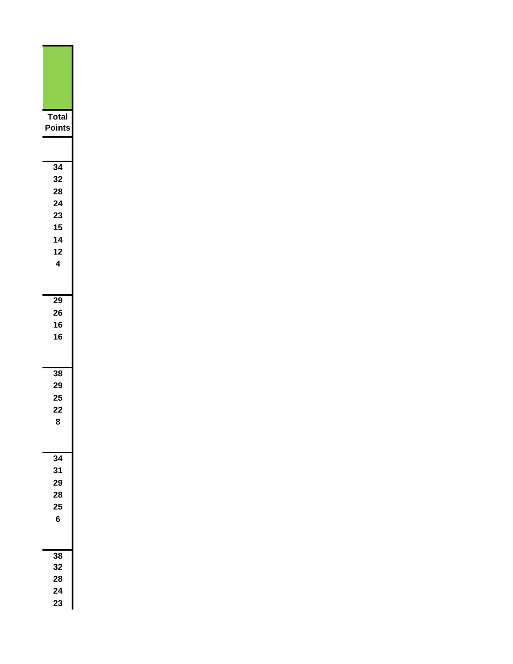| Total<br>Points                                                |  |
|----------------------------------------------------------------|--|
|                                                                |  |
| $\overline{34}$<br>32<br>28<br>24<br>23<br>15<br>14<br>12<br>4 |  |
| 29<br>26<br>16<br>16                                           |  |
| 38<br>29<br>25<br>22<br>C                                      |  |
| $\overline{34}$<br>31<br>29<br>28<br>25<br>6                   |  |
| 38<br>32<br>28<br>24<br>23                                     |  |